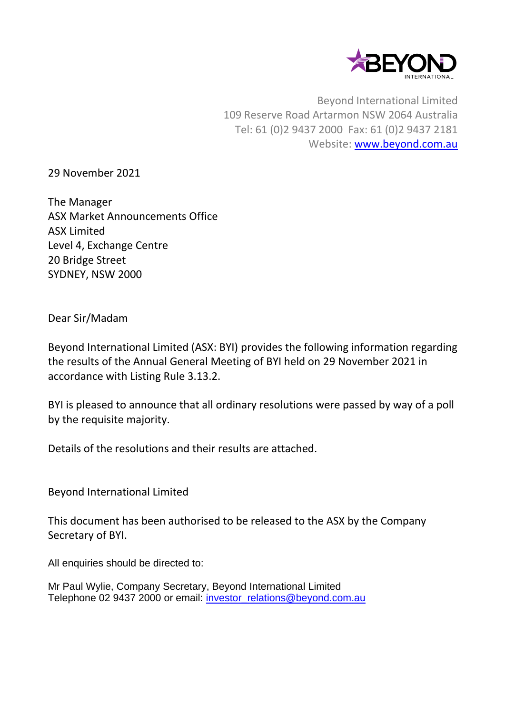

Beyond International Limited 109 Reserve Road Artarmon NSW 2064 Australia Tel: 61 (0)2 9437 2000 Fax: 61 (0)2 9437 2181 Website: [www.beyond.com.au](http://www.beyond.com.au/)

29 November 2021

The Manager ASX Market Announcements Office ASX Limited Level 4, Exchange Centre 20 Bridge Street SYDNEY, NSW 2000

Dear Sir/Madam

Beyond International Limited (ASX: BYI) provides the following information regarding the results of the Annual General Meeting of BYI held on 29 November 2021 in accordance with Listing Rule 3.13.2.

BYI is pleased to announce that all ordinary resolutions were passed by way of a poll by the requisite majority.

Details of the resolutions and their results are attached.

Beyond International Limited

This document has been authorised to be released to the ASX by the Company Secretary of BYI.

All enquiries should be directed to:

Mr Paul Wylie, Company Secretary, Beyond International Limited Telephone 02 9437 2000 or email: [investor\\_relations@beyond.com.au](mailto:investor_relations@beyond.com.au)